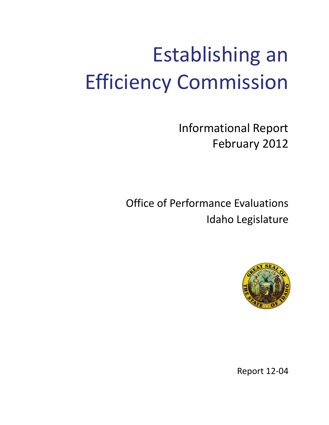# Establishing an Efficiency Commission

Informational Report February 2012

Office of Performance Evaluations Idaho Legislature



Report 12‐04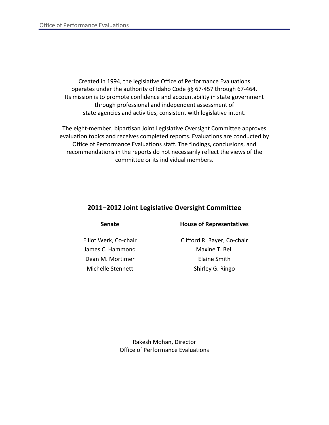Created in 1994, the legislative Office of Performance Evaluations operates under the authority of Idaho Code §§ 67‐457 through 67‐464. Its mission is to promote confidence and accountability in state government through professional and independent assessment of state agencies and activities, consistent with legislative intent.

The eight‐member, bipartisan Joint Legislative Oversight Committee approves evaluation topics and receives completed reports. Evaluations are conducted by Office of Performance Evaluations staff. The findings, conclusions, and recommendations in the reports do not necessarily reflect the views of the committee or its individual members.

#### **2011–2012 Joint Legislative Oversight Committee**

James C. Hammond Maxine T. Bell Dean M. Mortimer **Elaine Smith** 

#### **Senate House of Representatives**

Elliot Werk, Co-chair Clifford R. Bayer, Co-chair Michelle Stennett Shirley G. Ringo

> Rakesh Mohan, Director Office of Performance Evaluations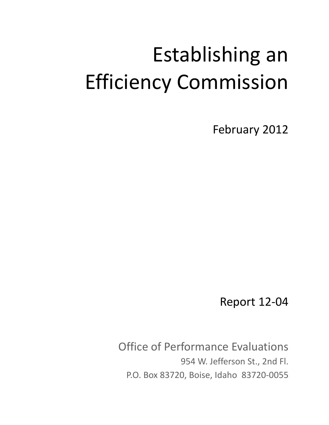# Establishing an Efficiency Commission

February 2012

Report 12‐04

Office of Performance Evaluations 954 W. Jefferson St., 2nd Fl. P.O. Box 83720, Boise, Idaho 83720‐0055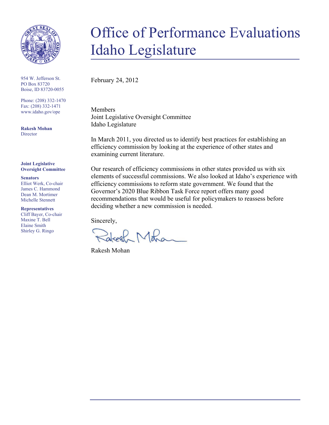

954 W. Jefferson St. PO Box 83720 Boise, ID 83720-0055

Phone: (208) 332-1470 Fax: (208) 332-1471 www.idaho.gov/ope

**Rakesh Mohan Director** 

#### **Joint Legislative Oversight Committee**

#### **Senators**

Elliot Werk, Co-chair James C. Hammond Dean M. Mortimer Michelle Stennett

#### **Representatives**

Cliff Bayer, Co-chair Maxine T. Bell Elaine Smith Shirley G. Ringo

# **Office of Performance Evaluations** Idaho Legislature

February 24, 2012

Members Joint Legislative Oversight Committee Idaho Legislature

In March 2011, you directed us to identify best practices for establishing an efficiency commission by looking at the experience of other states and examining current literature.

Our research of efficiency commissions in other states provided us with six elements of successful commissions. We also looked at Idaho's experience with efficiency commissions to reform state government. We found that the Governor's 2020 Blue Ribbon Task Force report offers many good recommendations that would be useful for policymakers to reassess before deciding whether a new commission is needed.

Sincerely,

 $R_{\rm m}$  Moon

Rakesh Mohan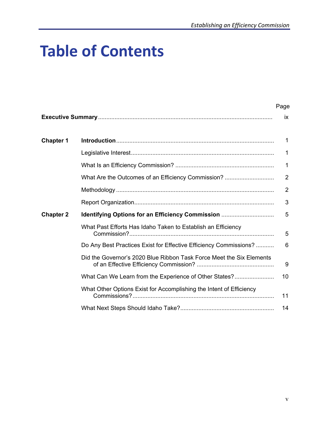# **Table of Contents**

|                  |                                                                      | Page           |
|------------------|----------------------------------------------------------------------|----------------|
|                  |                                                                      | ix             |
| <b>Chapter 1</b> |                                                                      | 1              |
|                  |                                                                      | 1              |
|                  |                                                                      | 1              |
|                  | What Are the Outcomes of an Efficiency Commission?                   | $\overline{2}$ |
|                  |                                                                      | $\overline{2}$ |
|                  |                                                                      | 3              |
| <b>Chapter 2</b> | Identifying Options for an Efficiency Commission                     | 5              |
|                  | What Past Efforts Has Idaho Taken to Establish an Efficiency         | 5              |
|                  | Do Any Best Practices Exist for Effective Efficiency Commissions?    | 6              |
|                  | Did the Governor's 2020 Blue Ribbon Task Force Meet the Six Elements | 9              |
|                  | What Can We Learn from the Experience of Other States?               | 10             |
|                  | What Other Options Exist for Accomplishing the Intent of Efficiency  | 11             |
|                  |                                                                      | 14             |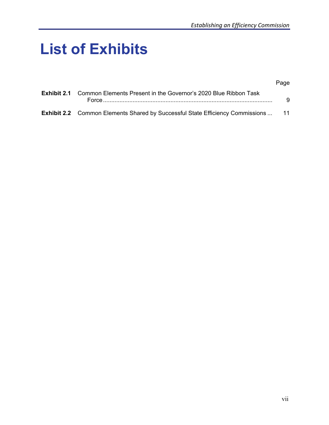# **List of Exhibits**

## **Exhibit 2.1** Common Elements Present in the Governor's 2020 Blue Ribbon Task Force ....................................................................................................... 9 **Exhibit 2.2** Common Elements Shared by Successful State Efficiency Commissions ... 11 Page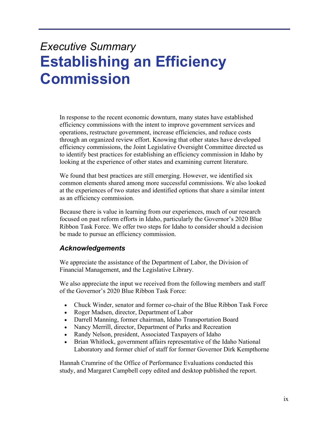# *Executive Summary*  **Establishing an Efficiency Commission**

In response to the recent economic downturn, many states have established efficiency commissions with the intent to improve government services and operations, restructure government, increase efficiencies, and reduce costs through an organized review effort. Knowing that other states have developed efficiency commissions, the Joint Legislative Oversight Committee directed us to identify best practices for establishing an efficiency commission in Idaho by looking at the experience of other states and examining current literature.

*Establishing an Efficiency Commission*

We found that best practices are still emerging. However, we identified six common elements shared among more successful commissions. We also looked at the experiences of two states and identified options that share a similar intent as an efficiency commission.

Because there is value in learning from our experiences, much of our research focused on past reform efforts in Idaho, particularly the Governor's 2020 Blue Ribbon Task Force. We offer two steps for Idaho to consider should a decision be made to pursue an efficiency commission.

#### *Acknowledgements*

We appreciate the assistance of the Department of Labor, the Division of Financial Management, and the Legislative Library.

We also appreciate the input we received from the following members and staff of the Governor's 2020 Blue Ribbon Task Force:

- Chuck Winder, senator and former co-chair of the Blue Ribbon Task Force
- Roger Madsen, director, Department of Labor
- Darrell Manning, former chairman, Idaho Transportation Board
- Nancy Merrill, director, Department of Parks and Recreation
- Randy Nelson, president, Associated Taxpayers of Idaho
- Brian Whitlock, government affairs representative of the Idaho National Laboratory and former chief of staff for former Governor Dirk Kempthorne

Hannah Crumrine of the Office of Performance Evaluations conducted this study, and Margaret Campbell copy edited and desktop published the report.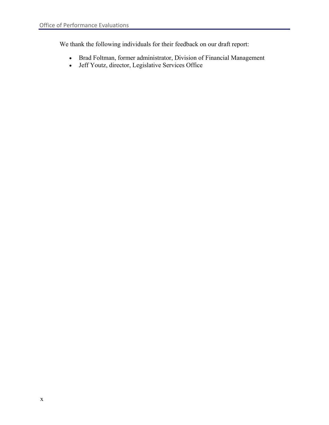We thank the following individuals for their feedback on our draft report:

- Brad Foltman, former administrator, Division of Financial Management
- Jeff Youtz, director, Legislative Services Office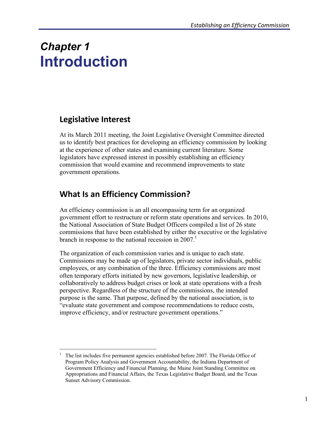# *Chapter 1*  **Introduction**

# **Legislative Interest**

At its March 2011 meeting, the Joint Legislative Oversight Committee directed us to identify best practices for developing an efficiency commission by looking at the experience of other states and examining current literature. Some legislators have expressed interest in possibly establishing an efficiency commission that would examine and recommend improvements to state government operations.

# **What Is an Efficiency Commission?**

 $\overline{\phantom{a}}$  , where  $\overline{\phantom{a}}$  , where  $\overline{\phantom{a}}$  , where  $\overline{\phantom{a}}$  , where  $\overline{\phantom{a}}$ 

An efficiency commission is an all encompassing term for an organized government effort to restructure or reform state operations and services. In 2010, the National Association of State Budget Officers compiled a list of 26 state commissions that have been established by either the executive or the legislative branch in response to the national recession in  $2007$ .<sup>1</sup>

The organization of each commission varies and is unique to each state. Commissions may be made up of legislators, private sector individuals, public employees, or any combination of the three. Efficiency commissions are most often temporary efforts initiated by new governors, legislative leadership, or collaboratively to address budget crises or look at state operations with a fresh perspective. Regardless of the structure of the commissions, the intended purpose is the same. That purpose, defined by the national association, is to "evaluate state government and compose recommendations to reduce costs, improve efficiency, and/or restructure government operations."

<sup>1</sup> The list includes five permanent agencies established before 2007. The Florida Office of Program Policy Analysis and Government Accountability, the Indiana Department of Government Efficiency and Financial Planning, the Maine Joint Standing Committee on Appropriations and Financial Affairs, the Texas Legislative Budget Board, and the Texas Sunset Advisory Commission.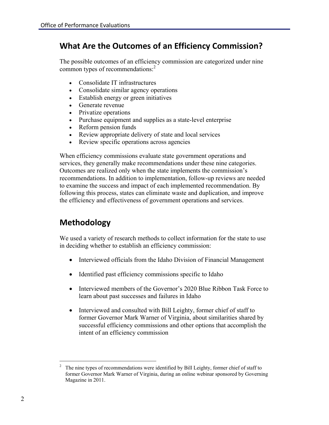# **What Are the Outcomes of an Efficiency Commission?**

The possible outcomes of an efficiency commission are categorized under nine common types of recommendations:<sup>2</sup>

- Consolidate IT infrastructures
- Consolidate similar agency operations
- Establish energy or green initiatives
- Generate revenue
- Privatize operations
- Purchase equipment and supplies as a state-level enterprise
- Reform pension funds
- Review appropriate delivery of state and local services
- Review specific operations across agencies

When efficiency commissions evaluate state government operations and services, they generally make recommendations under these nine categories. Outcomes are realized only when the state implements the commission's recommendations. In addition to implementation, follow-up reviews are needed to examine the success and impact of each implemented recommendation. By following this process, states can eliminate waste and duplication, and improve the efficiency and effectiveness of government operations and services.

# **Methodology**

 $\overline{\phantom{a}}$  , where  $\overline{\phantom{a}}$  , where  $\overline{\phantom{a}}$  , where  $\overline{\phantom{a}}$  , where  $\overline{\phantom{a}}$ 

We used a variety of research methods to collect information for the state to use in deciding whether to establish an efficiency commission:

- Interviewed officials from the Idaho Division of Financial Management
- Identified past efficiency commissions specific to Idaho
- Interviewed members of the Governor's 2020 Blue Ribbon Task Force to learn about past successes and failures in Idaho
- Interviewed and consulted with Bill Leighty, former chief of staff to former Governor Mark Warner of Virginia, about similarities shared by successful efficiency commissions and other options that accomplish the intent of an efficiency commission

<sup>2</sup> The nine types of recommendations were identified by Bill Leighty, former chief of staff to former Governor Mark Warner of Virginia, during an online webinar sponsored by Governing Magazine in 2011.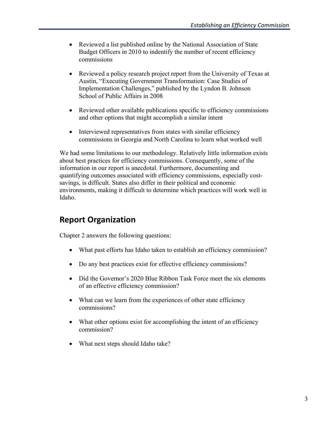- Reviewed a list published online by the National Association of State Budget Officers in 2010 to indentify the number of recent efficiency commissions
- Reviewed a policy research project report from the University of Texas at Austin, "Executing Government Transformation: Case Studies of Implementation Challenges," published by the Lyndon B. Johnson School of Public Affairs in 2008
- Reviewed other available publications specific to efficiency commissions and other options that might accomplish a similar intent
- Interviewed representatives from states with similar efficiency commissions in Georgia and North Carolina to learn what worked well

We had some limitations to our methodology. Relatively little information exists about best practices for efficiency commissions. Consequently, some of the information in our report is anecdotal. Furthermore, documenting and quantifying outcomes associated with efficiency commissions, especially costsavings, is difficult. States also differ in their political and economic environments, making it difficult to determine which practices will work well in Idaho.

# **Report Organization**

Chapter 2 answers the following questions:

- What past efforts has Idaho taken to establish an efficiency commission?
- Do any best practices exist for effective efficiency commissions?
- Did the Governor's 2020 Blue Ribbon Task Force meet the six elements of an effective efficiency commission?
- What can we learn from the experiences of other state efficiency commissions?
- What other options exist for accomplishing the intent of an efficiency commission?
- What next steps should Idaho take?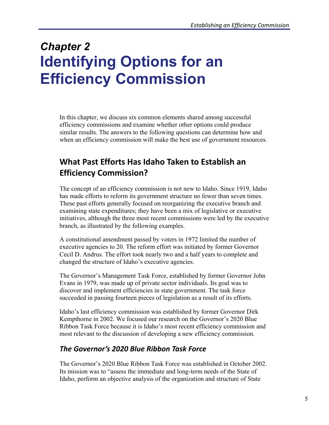# *Chapter 2*  **Identifying Options for an Efficiency Commission**

In this chapter, we discuss six common elements shared among successful efficiency commissions and examine whether other options could produce similar results. The answers to the following questions can determine how and when an efficiency commission will make the best use of government resources.

# **What Past Efforts Has Idaho Taken to Establish an Efficiency Commission?**

The concept of an efficiency commission is not new to Idaho. Since 1919, Idaho has made efforts to reform its government structure no fewer than seven times. These past efforts generally focused on reorganizing the executive branch and examining state expenditures; they have been a mix of legislative or executive initiatives, although the three most recent commissions were led by the executive branch, as illustrated by the following examples.

A constitutional amendment passed by voters in 1972 limited the number of executive agencies to 20. The reform effort was initiated by former Governor Cecil D. Andrus. The effort took nearly two and a half years to complete and changed the structure of Idaho's executive agencies.

The Governor's Management Task Force, established by former Governor John Evans in 1979, was made up of private sector individuals. Its goal was to discover and implement efficiencies in state government. The task force succeeded in passing fourteen pieces of legislation as a result of its efforts.

Idaho's last efficiency commission was established by former Governor Dirk Kempthorne in 2002. We focused our research on the Governor's 2020 Blue Ribbon Task Force because it is Idaho's most recent efficiency commission and most relevant to the discussion of developing a new efficiency commission.

### *The Governor's 2020 Blue Ribbon Task Force*

The Governor's 2020 Blue Ribbon Task Force was established in October 2002. Its mission was to "assess the immediate and long-term needs of the State of Idaho, perform an objective analysis of the organization and structure of State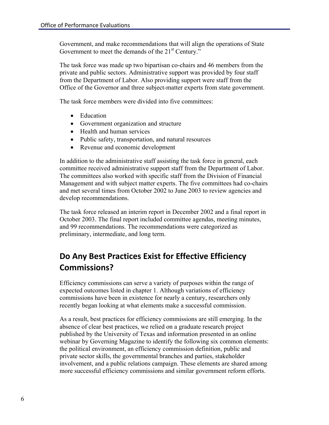Government, and make recommendations that will align the operations of State Government to meet the demands of the 21<sup>st</sup> Century."

The task force was made up two bipartisan co-chairs and 46 members from the private and public sectors. Administrative support was provided by four staff from the Department of Labor. Also providing support were staff from the Office of the Governor and three subject-matter experts from state government.

The task force members were divided into five committees:

- Education
- Government organization and structure
- Health and human services
- Public safety, transportation, and natural resources
- Revenue and economic development

In addition to the administrative staff assisting the task force in general, each committee received administrative support staff from the Department of Labor. The committees also worked with specific staff from the Division of Financial Management and with subject matter experts. The five committees had co-chairs and met several times from October 2002 to June 2003 to review agencies and develop recommendations.

The task force released an interim report in December 2002 and a final report in October 2003. The final report included committee agendas, meeting minutes, and 99 recommendations. The recommendations were categorized as preliminary, intermediate, and long term.

# **Do Any Best Practices Exist for Effective Efficiency Commissions?**

Efficiency commissions can serve a variety of purposes within the range of expected outcomes listed in chapter 1. Although variations of efficiency commissions have been in existence for nearly a century, researchers only recently began looking at what elements make a successful commission.

As a result, best practices for efficiency commissions are still emerging. In the absence of clear best practices, we relied on a graduate research project published by the University of Texas and information presented in an online webinar by Governing Magazine to identify the following six common elements: the political environment, an efficiency commission definition, public and private sector skills, the governmental branches and parties, stakeholder involvement, and a public relations campaign. These elements are shared among more successful efficiency commissions and similar government reform efforts.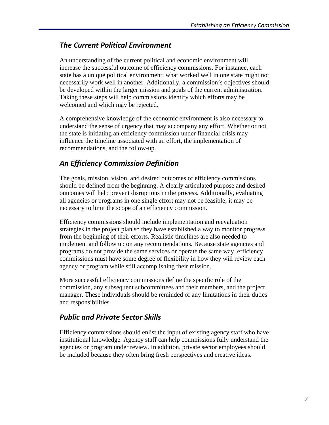### *The Current Political Environment*

An understanding of the current political and economic environment will increase the successful outcome of efficiency commissions. For instance, each state has a unique political environment; what worked well in one state might not necessarily work well in another. Additionally, a commission's objectives should be developed within the larger mission and goals of the current administration. Taking these steps will help commissions identify which efforts may be welcomed and which may be rejected.

A comprehensive knowledge of the economic environment is also necessary to understand the sense of urgency that may accompany any effort. Whether or not the state is initiating an efficiency commission under financial crisis may influence the timeline associated with an effort, the implementation of recommendations, and the follow-up.

## *An Efficiency Commission Definition*

The goals, mission, vision, and desired outcomes of efficiency commissions should be defined from the beginning. A clearly articulated purpose and desired outcomes will help prevent disruptions in the process. Additionally, evaluating all agencies or programs in one single effort may not be feasible; it may be necessary to limit the scope of an efficiency commission.

Efficiency commissions should include implementation and reevaluation strategies in the project plan so they have established a way to monitor progress from the beginning of their efforts. Realistic timelines are also needed to implement and follow up on any recommendations. Because state agencies and programs do not provide the same services or operate the same way, efficiency commissions must have some degree of flexibility in how they will review each agency or program while still accomplishing their mission.

More successful efficiency commissions define the specific role of the commission, any subsequent subcommittees and their members, and the project manager. These individuals should be reminded of any limitations in their duties and responsibilities.

### *Public and Private Sector Skills*

Efficiency commissions should enlist the input of existing agency staff who have institutional knowledge. Agency staff can help commissions fully understand the agencies or program under review. In addition, private sector employees should be included because they often bring fresh perspectives and creative ideas.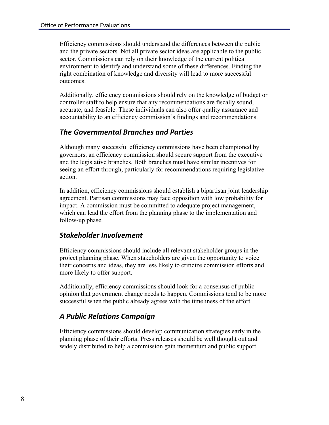Efficiency commissions should understand the differences between the public and the private sectors. Not all private sector ideas are applicable to the public sector. Commissions can rely on their knowledge of the current political environment to identify and understand some of these differences. Finding the right combination of knowledge and diversity will lead to more successful outcomes.

Additionally, efficiency commissions should rely on the knowledge of budget or controller staff to help ensure that any recommendations are fiscally sound, accurate, and feasible. These individuals can also offer quality assurance and accountability to an efficiency commission's findings and recommendations.

#### *The Governmental Branches and Parties*

Although many successful efficiency commissions have been championed by governors, an efficiency commission should secure support from the executive and the legislative branches. Both branches must have similar incentives for seeing an effort through, particularly for recommendations requiring legislative action.

In addition, efficiency commissions should establish a bipartisan joint leadership agreement. Partisan commissions may face opposition with low probability for impact. A commission must be committed to adequate project management, which can lead the effort from the planning phase to the implementation and follow-up phase.

#### *Stakeholder Involvement*

Efficiency commissions should include all relevant stakeholder groups in the project planning phase. When stakeholders are given the opportunity to voice their concerns and ideas, they are less likely to criticize commission efforts and more likely to offer support.

Additionally, efficiency commissions should look for a consensus of public opinion that government change needs to happen. Commissions tend to be more successful when the public already agrees with the timeliness of the effort.

### *A Public Relations Campaign*

Efficiency commissions should develop communication strategies early in the planning phase of their efforts. Press releases should be well thought out and widely distributed to help a commission gain momentum and public support.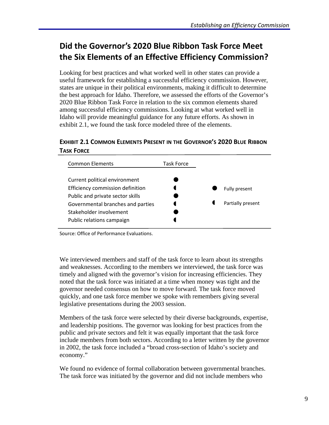# **Did the Governor's 2020 Blue Ribbon Task Force Meet the Six Elements of an Effective Efficiency Commission?**

Looking for best practices and what worked well in other states can provide a useful framework for establishing a successful efficiency commission. However, states are unique in their political environments, making it difficult to determine the best approach for Idaho. Therefore, we assessed the efforts of the Governor's 2020 Blue Ribbon Task Force in relation to the six common elements shared among successful efficiency commissions. Looking at what worked well in Idaho will provide meaningful guidance for any future efforts. As shown in exhibit 2.1, we found the task force modeled three of the elements.

**EXHIBIT 2.1 COMMON ELEMENTS PRESENT IN THE GOVERNOR'S 2020 BLUE RIBBON TASK FORCE** 

| <b>Common Elements</b>            | Task Force |                   |
|-----------------------------------|------------|-------------------|
| Current political environment     |            |                   |
| Efficiency commission definition  |            | Fully present     |
| Public and private sector skills  |            |                   |
| Governmental branches and parties |            | Partially present |
| Stakeholder involvement           |            |                   |
| Public relations campaign         |            |                   |

Source: Office of Performance Evaluations.

We interviewed members and staff of the task force to learn about its strengths and weaknesses. According to the members we interviewed, the task force was timely and aligned with the governor's vision for increasing efficiencies. They noted that the task force was initiated at a time when money was tight and the governor needed consensus on how to move forward. The task force moved quickly, and one task force member we spoke with remembers giving several legislative presentations during the 2003 session.

Members of the task force were selected by their diverse backgrounds, expertise, and leadership positions. The governor was looking for best practices from the public and private sectors and felt it was equally important that the task force include members from both sectors. According to a letter written by the governor in 2002, the task force included a "broad cross-section of Idaho's society and economy."

We found no evidence of formal collaboration between governmental branches. The task force was initiated by the governor and did not include members who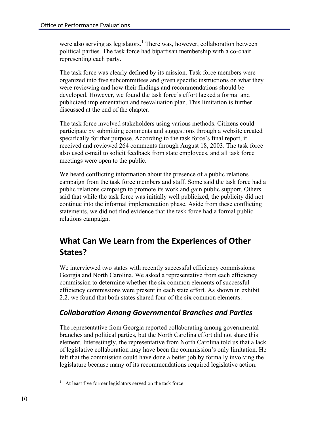were also serving as legislators.<sup>1</sup> There was, however, collaboration between political parties. The task force had bipartisan membership with a co-chair representing each party.

The task force was clearly defined by its mission. Task force members were organized into five subcommittees and given specific instructions on what they were reviewing and how their findings and recommendations should be developed. However, we found the task force's effort lacked a formal and publicized implementation and reevaluation plan. This limitation is further discussed at the end of the chapter.

The task force involved stakeholders using various methods. Citizens could participate by submitting comments and suggestions through a website created specifically for that purpose. According to the task force's final report, it received and reviewed 264 comments through August 18, 2003. The task force also used e-mail to solicit feedback from state employees, and all task force meetings were open to the public.

We heard conflicting information about the presence of a public relations campaign from the task force members and staff. Some said the task force had a public relations campaign to promote its work and gain public support. Others said that while the task force was initially well publicized, the publicity did not continue into the informal implementation phase. Aside from these conflicting statements, we did not find evidence that the task force had a formal public relations campaign.

# **What Can We Learn from the Experiences of Other States?**

We interviewed two states with recently successful efficiency commissions: Georgia and North Carolina. We asked a representative from each efficiency commission to determine whether the six common elements of successful efficiency commissions were present in each state effort. As shown in exhibit 2.2, we found that both states shared four of the six common elements.

#### *Collaboration Among Governmental Branches and Parties*

The representative from Georgia reported collaborating among governmental branches and political parties, but the North Carolina effort did not share this element. Interestingly, the representative from North Carolina told us that a lack of legislative collaboration may have been the commission's only limitation. He felt that the commission could have done a better job by formally involving the legislature because many of its recommendations required legislative action.

 $\overline{\phantom{a}}$  , where  $\overline{\phantom{a}}$  , where  $\overline{\phantom{a}}$  , where  $\overline{\phantom{a}}$  , where  $\overline{\phantom{a}}$ 

At least five former legislators served on the task force.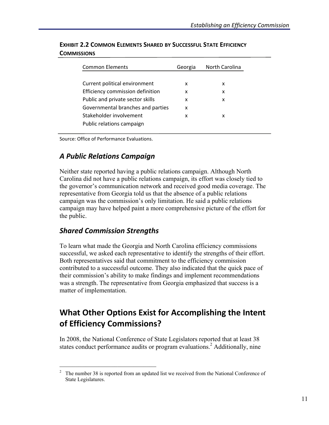| Current political environment<br>x<br>x<br>Efficiency commission definition<br>x<br>x<br>Public and private sector skills<br>x<br>x<br>Governmental branches and parties<br>x | <b>Common Elements</b>  | Georgia | North Carolina |
|-------------------------------------------------------------------------------------------------------------------------------------------------------------------------------|-------------------------|---------|----------------|
|                                                                                                                                                                               |                         |         |                |
|                                                                                                                                                                               |                         |         |                |
|                                                                                                                                                                               |                         |         |                |
|                                                                                                                                                                               |                         |         |                |
|                                                                                                                                                                               |                         |         |                |
|                                                                                                                                                                               | Stakeholder involvement | x       | x              |
| Public relations campaign                                                                                                                                                     |                         |         |                |

**EXHIBIT 2.2 COMMON ELEMENTS SHARED BY SUCCESSFUL STATE EFFICIENCY COMMISSIONS** 

Source: Office of Performance Evaluations.

#### *A Public Relations Campaign*

Neither state reported having a public relations campaign. Although North Carolina did not have a public relations campaign, its effort was closely tied to the governor's communication network and received good media coverage. The representative from Georgia told us that the absence of a public relations campaign was the commission's only limitation. He said a public relations campaign may have helped paint a more comprehensive picture of the effort for the public.

#### *Shared Commission Strengths*

 $\overline{\phantom{a}}$  , where  $\overline{\phantom{a}}$  , where  $\overline{\phantom{a}}$  , where  $\overline{\phantom{a}}$  , where  $\overline{\phantom{a}}$ 

To learn what made the Georgia and North Carolina efficiency commissions successful, we asked each representative to identify the strengths of their effort. Both representatives said that commitment to the efficiency commission contributed to a successful outcome. They also indicated that the quick pace of their commission's ability to make findings and implement recommendations was a strength. The representative from Georgia emphasized that success is a matter of implementation.

# **What Other Options Exist for Accomplishing the Intent of Efficiency Commissions?**

In 2008, the National Conference of State Legislators reported that at least 38 states conduct performance audits or program evaluations.<sup>2</sup> Additionally, nine

<sup>2</sup> The number 38 is reported from an updated list we received from the National Conference of State Legislatures.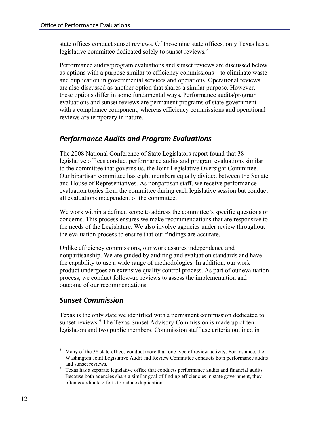state offices conduct sunset reviews. Of those nine state offices, only Texas has a legislative committee dedicated solely to sunset reviews.<sup>3</sup>

Performance audits/program evaluations and sunset reviews are discussed below as options with a purpose similar to efficiency commissions—to eliminate waste and duplication in governmental services and operations. Operational reviews are also discussed as another option that shares a similar purpose. However, these options differ in some fundamental ways. Performance audits/program evaluations and sunset reviews are permanent programs of state government with a compliance component, whereas efficiency commissions and operational reviews are temporary in nature.

#### *Performance Audits and Program Evaluations*

The 2008 National Conference of State Legislators report found that 38 legislative offices conduct performance audits and program evaluations similar to the committee that governs us, the Joint Legislative Oversight Committee. Our bipartisan committee has eight members equally divided between the Senate and House of Representatives. As nonpartisan staff, we receive performance evaluation topics from the committee during each legislative session but conduct all evaluations independent of the committee.

We work within a defined scope to address the committee's specific questions or concerns. This process ensures we make recommendations that are responsive to the needs of the Legislature. We also involve agencies under review throughout the evaluation process to ensure that our findings are accurate.

Unlike efficiency commissions, our work assures independence and nonpartisanship. We are guided by auditing and evaluation standards and have the capability to use a wide range of methodologies. In addition, our work product undergoes an extensive quality control process. As part of our evaluation process, we conduct follow-up reviews to assess the implementation and outcome of our recommendations.

### *Sunset Commission*

 $\overline{\phantom{a}}$  , where  $\overline{\phantom{a}}$  , where  $\overline{\phantom{a}}$  , where  $\overline{\phantom{a}}$  , where  $\overline{\phantom{a}}$ 

Texas is the only state we identified with a permanent commission dedicated to sunset reviews.<sup>4</sup> The Texas Sunset Advisory Commission is made up of ten legislators and two public members. Commission staff use criteria outlined in

<sup>3</sup> Many of the 38 state offices conduct more than one type of review activity. For instance, the Washington Joint Legislative Audit and Review Committee conducts both performance audits

and sunset reviews.<br><sup>4</sup> Texas has a separate legislative office that conducts performance audits and financial audits. Because both agencies share a similar goal of finding efficiencies in state government, they often coordinate efforts to reduce duplication.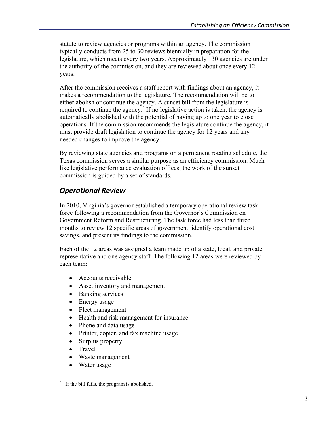statute to review agencies or programs within an agency. The commission typically conducts from 25 to 30 reviews biennially in preparation for the legislature, which meets every two years. Approximately 130 agencies are under the authority of the commission, and they are reviewed about once every 12 years.

After the commission receives a staff report with findings about an agency, it makes a recommendation to the legislature. The recommendation will be to either abolish or continue the agency. A sunset bill from the legislature is required to continue the agency.<sup>5</sup> If no legislative action is taken, the agency is automatically abolished with the potential of having up to one year to close operations. If the commission recommends the legislature continue the agency, it must provide draft legislation to continue the agency for 12 years and any needed changes to improve the agency.

By reviewing state agencies and programs on a permanent rotating schedule, the Texas commission serves a similar purpose as an efficiency commission. Much like legislative performance evaluation offices, the work of the sunset commission is guided by a set of standards.

### *Operational Review*

In 2010, Virginia's governor established a temporary operational review task force following a recommendation from the Governor's Commission on Government Reform and Restructuring. The task force had less than three months to review 12 specific areas of government, identify operational cost savings, and present its findings to the commission.

Each of the 12 areas was assigned a team made up of a state, local, and private representative and one agency staff. The following 12 areas were reviewed by each team:

- Accounts receivable
- Asset inventory and management
- Banking services
- Energy usage
- Fleet management
- Health and risk management for insurance
- Phone and data usage
- Printer, copier, and fax machine usage
- Surplus property
- Travel
- Waste management
- Water usage

 $\overline{\phantom{a}}$  , where  $\overline{\phantom{a}}$  , where  $\overline{\phantom{a}}$  , where  $\overline{\phantom{a}}$  , where  $\overline{\phantom{a}}$ 

 $<sup>5</sup>$  If the bill fails, the program is abolished.</sup>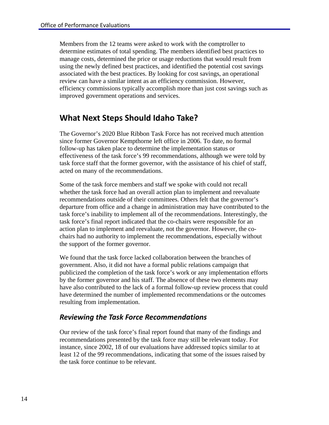Members from the 12 teams were asked to work with the comptroller to determine estimates of total spending. The members identified best practices to manage costs, determined the price or usage reductions that would result from using the newly defined best practices, and identified the potential cost savings associated with the best practices. By looking for cost savings, an operational review can have a similar intent as an efficiency commission. However, efficiency commissions typically accomplish more than just cost savings such as improved government operations and services.

# **What Next Steps Should Idaho Take?**

The Governor's 2020 Blue Ribbon Task Force has not received much attention since former Governor Kempthorne left office in 2006. To date, no formal follow-up has taken place to determine the implementation status or effectiveness of the task force's 99 recommendations, although we were told by task force staff that the former governor, with the assistance of his chief of staff, acted on many of the recommendations.

Some of the task force members and staff we spoke with could not recall whether the task force had an overall action plan to implement and reevaluate recommendations outside of their committees. Others felt that the governor's departure from office and a change in administration may have contributed to the task force's inability to implement all of the recommendations. Interestingly, the task force's final report indicated that the co-chairs were responsible for an action plan to implement and reevaluate, not the governor. However, the cochairs had no authority to implement the recommendations, especially without the support of the former governor.

We found that the task force lacked collaboration between the branches of government. Also, it did not have a formal public relations campaign that publicized the completion of the task force's work or any implementation efforts by the former governor and his staff. The absence of these two elements may have also contributed to the lack of a formal follow-up review process that could have determined the number of implemented recommendations or the outcomes resulting from implementation.

#### *Reviewing the Task Force Recommendations*

Our review of the task force's final report found that many of the findings and recommendations presented by the task force may still be relevant today. For instance, since 2002, 18 of our evaluations have addressed topics similar to at least 12 of the 99 recommendations, indicating that some of the issues raised by the task force continue to be relevant.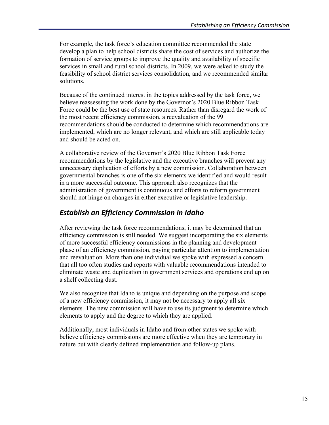For example, the task force's education committee recommended the state develop a plan to help school districts share the cost of services and authorize the formation of service groups to improve the quality and availability of specific services in small and rural school districts. In 2009, we were asked to study the feasibility of school district services consolidation, and we recommended similar solutions.

Because of the continued interest in the topics addressed by the task force, we believe reassessing the work done by the Governor's 2020 Blue Ribbon Task Force could be the best use of state resources. Rather than disregard the work of the most recent efficiency commission, a reevaluation of the 99 recommendations should be conducted to determine which recommendations are implemented, which are no longer relevant, and which are still applicable today and should be acted on.

A collaborative review of the Governor's 2020 Blue Ribbon Task Force recommendations by the legislative and the executive branches will prevent any unnecessary duplication of efforts by a new commission. Collaboration between governmental branches is one of the six elements we identified and would result in a more successful outcome. This approach also recognizes that the administration of government is continuous and efforts to reform government should not hinge on changes in either executive or legislative leadership.

### *Establish an Efficiency Commission in Idaho*

After reviewing the task force recommendations, it may be determined that an efficiency commission is still needed. We suggest incorporating the six elements of more successful efficiency commissions in the planning and development phase of an efficiency commission, paying particular attention to implementation and reevaluation. More than one individual we spoke with expressed a concern that all too often studies and reports with valuable recommendations intended to eliminate waste and duplication in government services and operations end up on a shelf collecting dust.

We also recognize that Idaho is unique and depending on the purpose and scope of a new efficiency commission, it may not be necessary to apply all six elements. The new commission will have to use its judgment to determine which elements to apply and the degree to which they are applied.

Additionally, most individuals in Idaho and from other states we spoke with believe efficiency commissions are more effective when they are temporary in nature but with clearly defined implementation and follow-up plans.